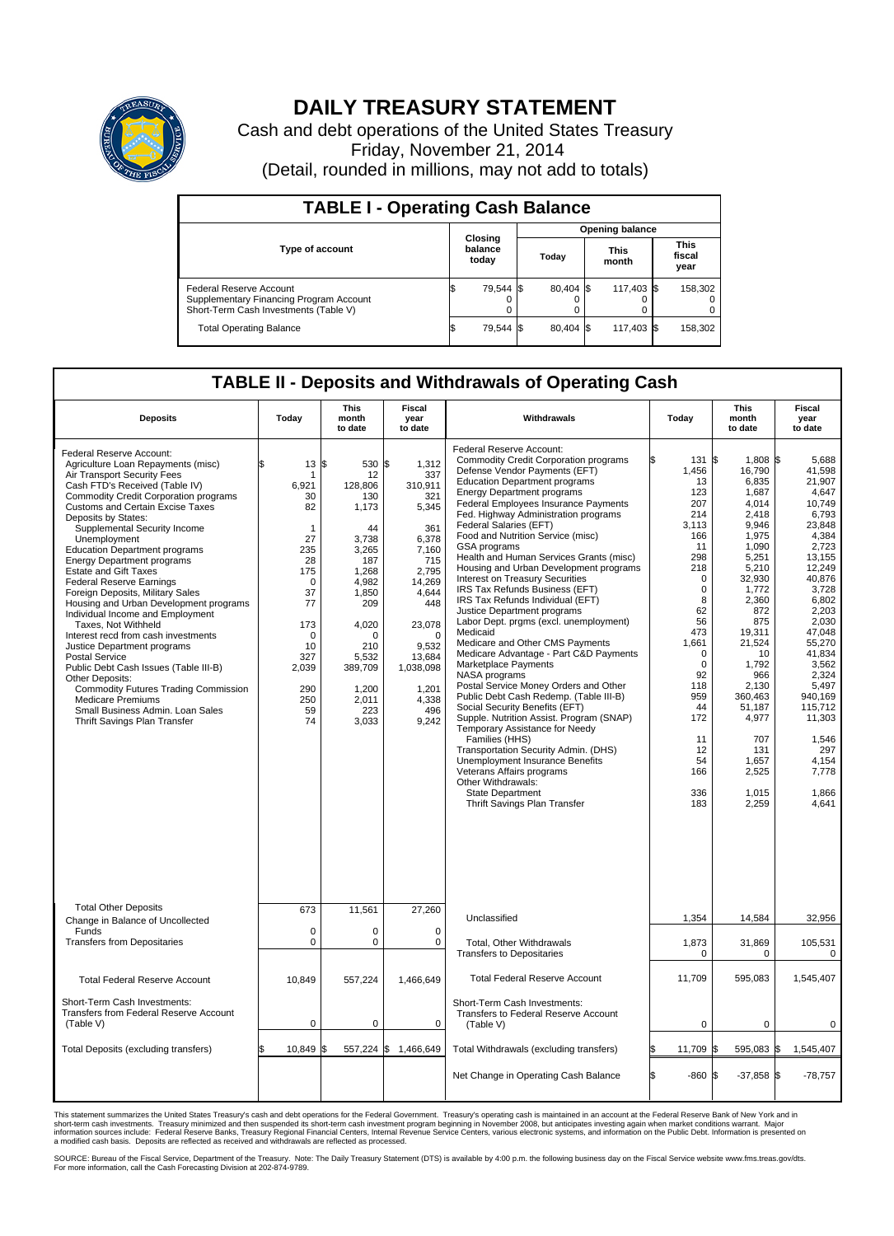

## **DAILY TREASURY STATEMENT**

Cash and debt operations of the United States Treasury Friday, November 21, 2014 (Detail, rounded in millions, may not add to totals)

| <b>TABLE I - Operating Cash Balance</b>                                                                     |                             |           |  |           |  |                      |  |                               |  |  |  |
|-------------------------------------------------------------------------------------------------------------|-----------------------------|-----------|--|-----------|--|----------------------|--|-------------------------------|--|--|--|
| <b>Opening balance</b>                                                                                      |                             |           |  |           |  |                      |  |                               |  |  |  |
| <b>Type of account</b>                                                                                      | Closing<br>balance<br>today |           |  | Today     |  | <b>This</b><br>month |  | <b>This</b><br>fiscal<br>year |  |  |  |
| Federal Reserve Account<br>Supplementary Financing Program Account<br>Short-Term Cash Investments (Table V) |                             | 79,544 \$ |  | 80.404 \$ |  | 117,403 \$           |  | 158,302                       |  |  |  |
| <b>Total Operating Balance</b>                                                                              | \$                          | 79,544 \$ |  | 80,404 \$ |  | 117,403 \$           |  | 158,302                       |  |  |  |

## **TABLE II - Deposits and Withdrawals of Operating Cash**

| <b>Deposits</b>                                                                                                                                                                                                                                                                                                                                                                                                                                                                                                                                                                                                                                                                                                                                                                                                                                                                                      | Today                                                                                                                                                   | This<br>month<br>to date                                                                                                                                                                          | Fiscal<br>year<br>to date                                                                                                                                                                          | Withdrawals                                                                                                                                                                                                                                                                                                                                                                                                                                                                                                                                                                                                                                                                                                                                                                                                                                                                                                                                                                                                                                                                                                                                                                         | Today                   | This<br>month<br>to date                                                                                                                                                                                                                                                                                                                                                                                                                                                                              | <b>Fiscal</b><br>year<br>to date                                                                                                                                                                                                                                                                 |
|------------------------------------------------------------------------------------------------------------------------------------------------------------------------------------------------------------------------------------------------------------------------------------------------------------------------------------------------------------------------------------------------------------------------------------------------------------------------------------------------------------------------------------------------------------------------------------------------------------------------------------------------------------------------------------------------------------------------------------------------------------------------------------------------------------------------------------------------------------------------------------------------------|---------------------------------------------------------------------------------------------------------------------------------------------------------|---------------------------------------------------------------------------------------------------------------------------------------------------------------------------------------------------|----------------------------------------------------------------------------------------------------------------------------------------------------------------------------------------------------|-------------------------------------------------------------------------------------------------------------------------------------------------------------------------------------------------------------------------------------------------------------------------------------------------------------------------------------------------------------------------------------------------------------------------------------------------------------------------------------------------------------------------------------------------------------------------------------------------------------------------------------------------------------------------------------------------------------------------------------------------------------------------------------------------------------------------------------------------------------------------------------------------------------------------------------------------------------------------------------------------------------------------------------------------------------------------------------------------------------------------------------------------------------------------------------|-------------------------|-------------------------------------------------------------------------------------------------------------------------------------------------------------------------------------------------------------------------------------------------------------------------------------------------------------------------------------------------------------------------------------------------------------------------------------------------------------------------------------------------------|--------------------------------------------------------------------------------------------------------------------------------------------------------------------------------------------------------------------------------------------------------------------------------------------------|
| Federal Reserve Account:<br>Agriculture Loan Repayments (misc)<br>Air Transport Security Fees<br>Cash FTD's Received (Table IV)<br><b>Commodity Credit Corporation programs</b><br><b>Customs and Certain Excise Taxes</b><br>Deposits by States:<br>Supplemental Security Income<br>Unemployment<br><b>Education Department programs</b><br><b>Energy Department programs</b><br><b>Estate and Gift Taxes</b><br><b>Federal Reserve Earnings</b><br>Foreign Deposits, Military Sales<br>Housing and Urban Development programs<br>Individual Income and Employment<br>Taxes. Not Withheld<br>Interest recd from cash investments<br>Justice Department programs<br><b>Postal Service</b><br>Public Debt Cash Issues (Table III-B)<br>Other Deposits:<br><b>Commodity Futures Trading Commission</b><br><b>Medicare Premiums</b><br>Small Business Admin. Loan Sales<br>Thrift Savings Plan Transfer | \$<br>13<br>6,921<br>30<br>82<br>1<br>27<br>235<br>28<br>175<br>$\Omega$<br>37<br>77<br>173<br>$\Omega$<br>10<br>327<br>2,039<br>290<br>250<br>59<br>74 | l\$<br>530 \$<br>12<br>128,806<br>130<br>1,173<br>44<br>3,738<br>3,265<br>187<br>1,268<br>4,982<br>1.850<br>209<br>4,020<br>$\Omega$<br>210<br>5,532<br>389,709<br>1,200<br>2,011<br>223<br>3,033 | 1,312<br>337<br>310,911<br>321<br>5,345<br>361<br>6,378<br>7,160<br>715<br>2,795<br>14,269<br>4.644<br>448<br>23,078<br>$\Omega$<br>9,532<br>13,684<br>1,038,098<br>1,201<br>4,338<br>496<br>9,242 | Federal Reserve Account:<br><b>Commodity Credit Corporation programs</b><br>Defense Vendor Payments (EFT)<br><b>Education Department programs</b><br><b>Energy Department programs</b><br>Federal Employees Insurance Payments<br>Fed. Highway Administration programs<br>Federal Salaries (EFT)<br>Food and Nutrition Service (misc)<br>GSA programs<br>Health and Human Services Grants (misc)<br>Housing and Urban Development programs<br>Interest on Treasury Securities<br>IRS Tax Refunds Business (EFT)<br>IRS Tax Refunds Individual (EFT)<br>Justice Department programs<br>Labor Dept. prgms (excl. unemployment)<br>Medicaid<br>Medicare and Other CMS Payments<br>Medicare Advantage - Part C&D Payments<br>Marketplace Payments<br><b>NASA</b> programs<br>Postal Service Money Orders and Other<br>Public Debt Cash Redemp. (Table III-B)<br>Social Security Benefits (EFT)<br>Supple. Nutrition Assist. Program (SNAP)<br>Temporary Assistance for Needy<br>Families (HHS)<br>Transportation Security Admin. (DHS)<br>Unemployment Insurance Benefits<br>Veterans Affairs programs<br>Other Withdrawals:<br><b>State Department</b><br>Thrift Savings Plan Transfer | 1,456<br>3.113<br>1.661 | \$<br>1,808 \$<br>131<br>16,790<br>6,835<br>13<br>1,687<br>123<br>207<br>4.014<br>214<br>2,418<br>9.946<br>166<br>1,975<br>1.090<br>11<br>298<br>5,251<br>218<br>5,210<br>32,930<br>$\mathbf 0$<br>$\mathbf 0$<br>1,772<br>8<br>2,360<br>62<br>872<br>56<br>875<br>473<br>19,311<br>21,524<br>0<br>10<br>$\mathbf 0$<br>1,792<br>92<br>966<br>118<br>2,130<br>959<br>360.463<br>44<br>51,187<br>172<br>4,977<br>707<br>11<br>131<br>12<br>54<br>1,657<br>166<br>2,525<br>336<br>1,015<br>183<br>2,259 | 5.688<br>41,598<br>21.907<br>4,647<br>10.749<br>6,793<br>23.848<br>4,384<br>2,723<br>13,155<br>12,249<br>40,876<br>3,728<br>6.802<br>2,203<br>2,030<br>47,048<br>55,270<br>41,834<br>3,562<br>2.324<br>5,497<br>940.169<br>115,712<br>11,303<br>1,546<br>297<br>4,154<br>7,778<br>1,866<br>4,641 |
| <b>Total Other Deposits</b>                                                                                                                                                                                                                                                                                                                                                                                                                                                                                                                                                                                                                                                                                                                                                                                                                                                                          | 673                                                                                                                                                     | 11,561                                                                                                                                                                                            | 27,260                                                                                                                                                                                             | Unclassified                                                                                                                                                                                                                                                                                                                                                                                                                                                                                                                                                                                                                                                                                                                                                                                                                                                                                                                                                                                                                                                                                                                                                                        | 1,354                   | 14,584                                                                                                                                                                                                                                                                                                                                                                                                                                                                                                | 32,956                                                                                                                                                                                                                                                                                           |
| Change in Balance of Uncollected<br>Funds<br><b>Transfers from Depositaries</b>                                                                                                                                                                                                                                                                                                                                                                                                                                                                                                                                                                                                                                                                                                                                                                                                                      | $\mathbf 0$<br>0                                                                                                                                        | $\mathbf 0$<br>$\pmb{0}$                                                                                                                                                                          | $\Omega$<br>0                                                                                                                                                                                      | Total, Other Withdrawals                                                                                                                                                                                                                                                                                                                                                                                                                                                                                                                                                                                                                                                                                                                                                                                                                                                                                                                                                                                                                                                                                                                                                            | 1,873                   | 31,869                                                                                                                                                                                                                                                                                                                                                                                                                                                                                                | 105,531                                                                                                                                                                                                                                                                                          |
|                                                                                                                                                                                                                                                                                                                                                                                                                                                                                                                                                                                                                                                                                                                                                                                                                                                                                                      |                                                                                                                                                         |                                                                                                                                                                                                   |                                                                                                                                                                                                    | <b>Transfers to Depositaries</b>                                                                                                                                                                                                                                                                                                                                                                                                                                                                                                                                                                                                                                                                                                                                                                                                                                                                                                                                                                                                                                                                                                                                                    |                         | $\Omega$<br>0                                                                                                                                                                                                                                                                                                                                                                                                                                                                                         | 0                                                                                                                                                                                                                                                                                                |
| <b>Total Federal Reserve Account</b>                                                                                                                                                                                                                                                                                                                                                                                                                                                                                                                                                                                                                                                                                                                                                                                                                                                                 | 10,849                                                                                                                                                  | 557,224                                                                                                                                                                                           | 1,466,649                                                                                                                                                                                          | <b>Total Federal Reserve Account</b>                                                                                                                                                                                                                                                                                                                                                                                                                                                                                                                                                                                                                                                                                                                                                                                                                                                                                                                                                                                                                                                                                                                                                | 11,709                  | 595,083                                                                                                                                                                                                                                                                                                                                                                                                                                                                                               | 1,545,407                                                                                                                                                                                                                                                                                        |
| Short-Term Cash Investments:<br>Transfers from Federal Reserve Account<br>(Table V)                                                                                                                                                                                                                                                                                                                                                                                                                                                                                                                                                                                                                                                                                                                                                                                                                  | $\mathbf 0$                                                                                                                                             | $\mathbf 0$                                                                                                                                                                                       | 0                                                                                                                                                                                                  | Short-Term Cash Investments:<br>Transfers to Federal Reserve Account<br>(Table V)                                                                                                                                                                                                                                                                                                                                                                                                                                                                                                                                                                                                                                                                                                                                                                                                                                                                                                                                                                                                                                                                                                   |                         | $\mathbf 0$<br>$\mathbf 0$                                                                                                                                                                                                                                                                                                                                                                                                                                                                            | $\mathbf 0$                                                                                                                                                                                                                                                                                      |
| Total Deposits (excluding transfers)                                                                                                                                                                                                                                                                                                                                                                                                                                                                                                                                                                                                                                                                                                                                                                                                                                                                 | \$<br>10,849                                                                                                                                            | l\$                                                                                                                                                                                               | 557,224 \$ 1,466,649                                                                                                                                                                               | Total Withdrawals (excluding transfers)                                                                                                                                                                                                                                                                                                                                                                                                                                                                                                                                                                                                                                                                                                                                                                                                                                                                                                                                                                                                                                                                                                                                             | 11,709                  | l\$<br>595,083 \$                                                                                                                                                                                                                                                                                                                                                                                                                                                                                     | 1,545,407                                                                                                                                                                                                                                                                                        |
|                                                                                                                                                                                                                                                                                                                                                                                                                                                                                                                                                                                                                                                                                                                                                                                                                                                                                                      |                                                                                                                                                         |                                                                                                                                                                                                   |                                                                                                                                                                                                    | Net Change in Operating Cash Balance                                                                                                                                                                                                                                                                                                                                                                                                                                                                                                                                                                                                                                                                                                                                                                                                                                                                                                                                                                                                                                                                                                                                                | l\$                     | -860<br>1\$<br>$-37,858$ \$                                                                                                                                                                                                                                                                                                                                                                                                                                                                           | $-78,757$                                                                                                                                                                                                                                                                                        |

This statement summarizes the United States Treasury's cash and debt operations for the Federal Government. Treasury's operating cash is maintained in an account at the Federal Reserve Bank of New York and in<br>short-term ca

SOURCE: Bureau of the Fiscal Service, Department of the Treasury. Note: The Daily Treasury Statement (DTS) is available by 4:00 p.m. the following business day on the Fiscal Service website www.fms.treas.gov/dts.<br>For more